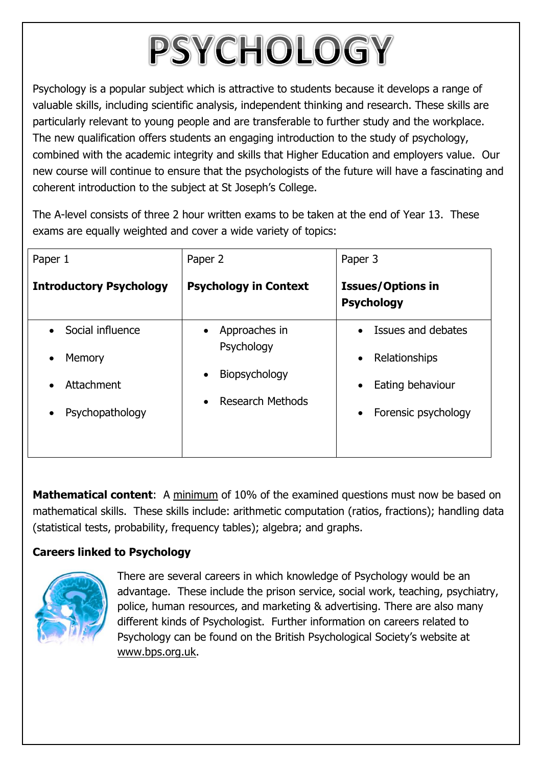## PSYCHOLOGY

Psychology is a popular subject which is attractive to students because it develops a range of valuable skills, including scientific analysis, independent thinking and research. These skills are particularly relevant to young people and are transferable to further study and the workplace. The new qualification offers students an engaging introduction to the study of psychology, combined with the academic integrity and skills that Higher Education and employers value. Our new course will continue to ensure that the psychologists of the future will have a fascinating and coherent introduction to the subject at St Joseph's College.

The A-level consists of three 2 hour written exams to be taken at the end of Year 13. These exams are equally weighted and cover a wide variety of topics:

| Paper 1                        | Paper 2                                                                          | Paper 3                                       |
|--------------------------------|----------------------------------------------------------------------------------|-----------------------------------------------|
| <b>Introductory Psychology</b> | <b>Psychology in Context</b>                                                     | <b>Issues/Options in</b><br><b>Psychology</b> |
| Social influence<br>$\bullet$  | Approaches in<br>$\bullet$                                                       | Issues and debates<br>$\bullet$               |
| Memory<br>$\bullet$            | Psychology<br>Biopsychology<br>$\bullet$<br><b>Research Methods</b><br>$\bullet$ | Relationships<br>$\bullet$                    |
| Attachment                     |                                                                                  | Eating behaviour<br>$\bullet$                 |
| Psychopathology                |                                                                                  | Forensic psychology<br>$\bullet$              |

**Mathematical content:** A minimum of 10% of the examined questions must now be based on mathematical skills. These skills include: arithmetic computation (ratios, fractions); handling data (statistical tests, probability, frequency tables); algebra; and graphs.

## **Careers linked to Psychology**



There are several careers in which knowledge of Psychology would be an advantage. These include the prison service, social work, teaching, psychiatry, police, human resources, and marketing & advertising. There are also many different kinds of Psychologist. Further information on careers related to Psychology can be found on the British Psychological Society's website at [www.bps.org.uk.](http://www.bps.org.uk/)